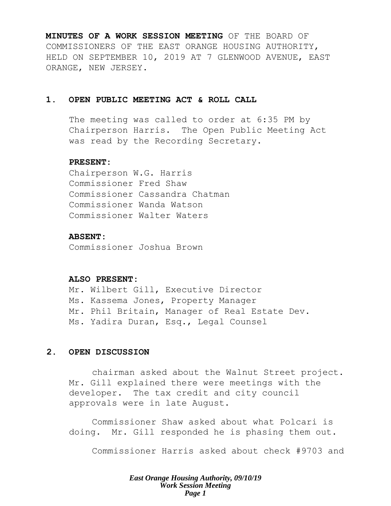**MINUTES OF A WORK SESSION MEETING** OF THE BOARD OF COMMISSIONERS OF THE EAST ORANGE HOUSING AUTHORITY, HELD ON SEPTEMBER 10, 2019 AT 7 GLENWOOD AVENUE, EAST ORANGE, NEW JERSEY.

# **1. OPEN PUBLIC MEETING ACT & ROLL CALL**

The meeting was called to order at 6:35 PM by Chairperson Harris. The Open Public Meeting Act was read by the Recording Secretary.

#### **PRESENT:**

Chairperson W.G. Harris Commissioner Fred Shaw Commissioner Cassandra Chatman Commissioner Wanda Watson Commissioner Walter Waters

### **ABSENT:**

Commissioner Joshua Brown

# **ALSO PRESENT:**

Mr. Wilbert Gill, Executive Director Ms. Kassema Jones, Property Manager Mr. Phil Britain, Manager of Real Estate Dev. Ms. Yadira Duran, Esq., Legal Counsel

# **2. OPEN DISCUSSION**

chairman asked about the Walnut Street project. Mr. Gill explained there were meetings with the developer. The tax credit and city council approvals were in late August.

Commissioner Shaw asked about what Polcari is doing. Mr. Gill responded he is phasing them out.

Commissioner Harris asked about check #9703 and

*East Orange Housing Authority, 09/10/19 Work Session Meeting Page 1*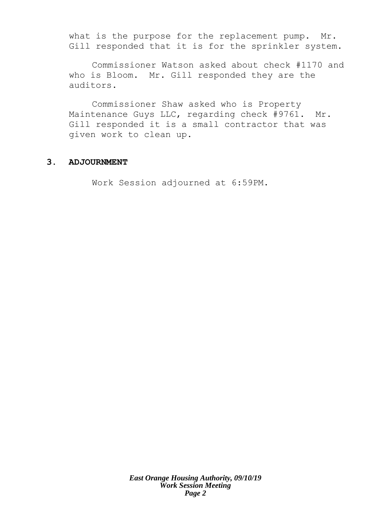what is the purpose for the replacement pump. Mr. Gill responded that it is for the sprinkler system.

Commissioner Watson asked about check #1170 and who is Bloom. Mr. Gill responded they are the auditors.

Commissioner Shaw asked who is Property Maintenance Guys LLC, regarding check #9761. Mr. Gill responded it is a small contractor that was given work to clean up.

# **3. ADJOURNMENT**

Work Session adjourned at 6:59PM.

*East Orange Housing Authority, 09/10/19 Work Session Meeting Page 2*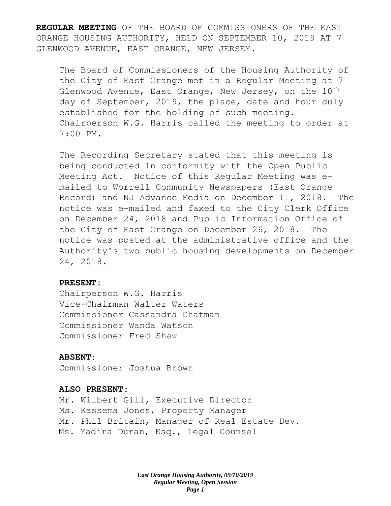**REGULAR MEETING** OF THE BOARD OF COMMISSIONERS OF THE EAST ORANGE HOUSING AUTHORITY, HELD ON SEPTEMBER 10, 2019 AT 7 GLENWOOD AVENUE, EAST ORANGE, NEW JERSEY.

The Board of Commissioners of the Housing Authority of the City of East Orange met in a Regular Meeting at 7 Glenwood Avenue, East Orange, New Jersey, on the  $10^{th}$ day of September, 2019, the place, date and hour duly established for the holding of such meeting. Chairperson W.G. Harris called the meeting to order at 7:00 PM.

The Recording Secretary stated that this meeting is being conducted in conformity with the Open Public Meeting Act. Notice of this Regular Meeting was emailed to Worrell Community Newspapers (East Orange Record) and NJ Advance Media on December 11, 2018. The notice was e-mailed and faxed to the City Clerk Office on December 24, 2018 and Public Information Office of the City of East Orange on December 26, 2018. The notice was posted at the administrative office and the Authority's two public housing developments on December 24, 2018.

#### **PRESENT:**

Chairperson W.G. Harris Vice-Chairman Walter Waters Commissioner Cassandra Chatman Commissioner Wanda Watson Commissioner Fred Shaw

### **ABSENT:**

Commissioner Joshua Brown

#### **ALSO PRESENT:**

Mr. Wilbert Gill, Executive Director Ms. Kassema Jones, Property Manager Mr. Phil Britain, Manager of Real Estate Dev. Ms. Yadira Duran, Esq., Legal Counsel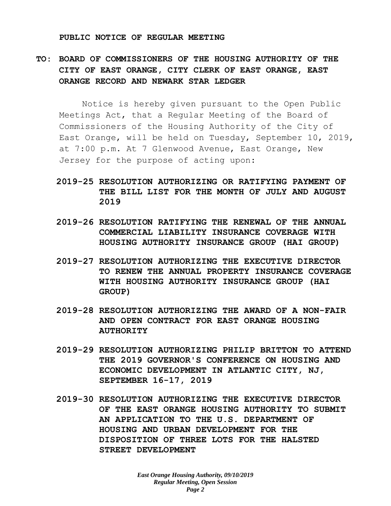#### **PUBLIC NOTICE OF REGULAR MEETING**

# **TO: BOARD OF COMMISSIONERS OF THE HOUSING AUTHORITY OF THE CITY OF EAST ORANGE, CITY CLERK OF EAST ORANGE, EAST ORANGE RECORD AND NEWARK STAR LEDGER**

Notice is hereby given pursuant to the Open Public Meetings Act, that a Regular Meeting of the Board of Commissioners of the Housing Authority of the City of East Orange, will be held on Tuesday, September 10, 2019, at 7:00 p.m. At 7 Glenwood Avenue, East Orange, New Jersey for the purpose of acting upon:

- **2019-25 RESOLUTION AUTHORIZING OR RATIFYING PAYMENT OF THE BILL LIST FOR THE MONTH OF JULY AND AUGUST 2019**
- **2019-26 RESOLUTION RATIFYING THE RENEWAL OF THE ANNUAL COMMERCIAL LIABILITY INSURANCE COVERAGE WITH HOUSING AUTHORITY INSURANCE GROUP (HAI GROUP)**
- **2019-27 RESOLUTION AUTHORIZING THE EXECUTIVE DIRECTOR TO RENEW THE ANNUAL PROPERTY INSURANCE COVERAGE WITH HOUSING AUTHORITY INSURANCE GROUP (HAI GROUP)**
- **2019-28 RESOLUTION AUTHORIZING THE AWARD OF A NON-FAIR AND OPEN CONTRACT FOR EAST ORANGE HOUSING AUTHORITY**
- **2019-29 RESOLUTION AUTHORIZING PHILIP BRITTON TO ATTEND THE 2019 GOVERNOR'S CONFERENCE ON HOUSING AND ECONOMIC DEVELOPMENT IN ATLANTIC CITY, NJ, SEPTEMBER 16-17, 2019**
- **2019-30 RESOLUTION AUTHORIZING THE EXECUTIVE DIRECTOR OF THE EAST ORANGE HOUSING AUTHORITY TO SUBMIT AN APPLICATION TO THE U.S. DEPARTMENT OF HOUSING AND URBAN DEVELOPMENT FOR THE DISPOSITION OF THREE LOTS FOR THE HALSTED STREET DEVELOPMENT**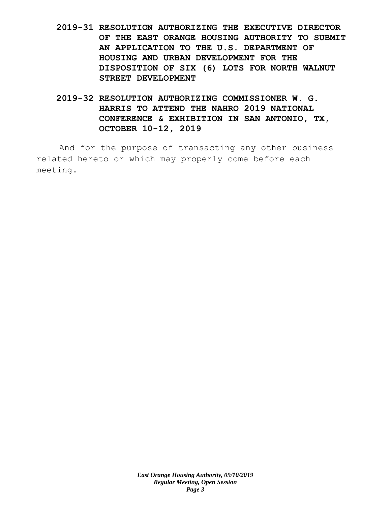- **2019-31 RESOLUTION AUTHORIZING THE EXECUTIVE DIRECTOR OF THE EAST ORANGE HOUSING AUTHORITY TO SUBMIT AN APPLICATION TO THE U.S. DEPARTMENT OF HOUSING AND URBAN DEVELOPMENT FOR THE DISPOSITION OF SIX (6) LOTS FOR NORTH WALNUT STREET DEVELOPMENT**
- **2019-32 RESOLUTION AUTHORIZING COMMISSIONER W. G. HARRIS TO ATTEND THE NAHRO 2019 NATIONAL CONFERENCE & EXHIBITION IN SAN ANTONIO, TX, OCTOBER 10-12, 2019**

And for the purpose of transacting any other business related hereto or which may properly come before each meeting.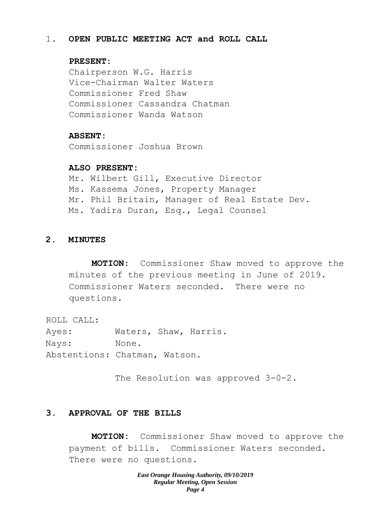## 1. **OPEN PUBLIC MEETING ACT and ROLL CALL**

# **PRESENT:**

Chairperson W.G. Harris Vice-Chairman Walter Waters Commissioner Fred Shaw Commissioner Cassandra Chatman Commissioner Wanda Watson

### **ABSENT:**

Commissioner Joshua Brown

### **ALSO PRESENT:**

Mr. Wilbert Gill, Executive Director Ms. Kassema Jones, Property Manager Mr. Phil Britain, Manager of Real Estate Dev. Ms. Yadira Duran, Esq., Legal Counsel

# **2. MINUTES**

**MOTION:** Commissioner Shaw moved to approve the minutes of the previous meeting in June of 2019. Commissioner Waters seconded. There were no questions.

ROLL CALL:

Ayes: Waters, Shaw, Harris. Nays: None. Abstentions: Chatman, Watson.

The Resolution was approved 3-0-2.

# **3. APPROVAL OF THE BILLS**

**MOTION:** Commissioner Shaw moved to approve the payment of bills. Commissioner Waters seconded. There were no questions.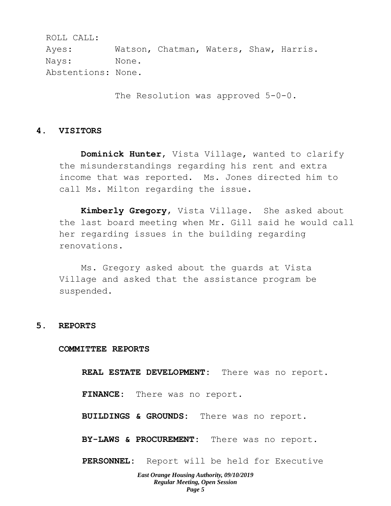ROLL CALL: Ayes: Watson, Chatman, Waters, Shaw, Harris. Nays: None. Abstentions: None.

The Resolution was approved 5-0-0.

### **4. VISITORS**

**Dominick Hunter**, Vista Village, wanted to clarify the misunderstandings regarding his rent and extra income that was reported. Ms. Jones directed him to call Ms. Milton regarding the issue.

**Kimberly Gregory**, Vista Village. She asked about the last board meeting when Mr. Gill said he would call her regarding issues in the building regarding renovations.

Ms. Gregory asked about the guards at Vista Village and asked that the assistance program be suspended.

#### **5. REPORTS**

#### **COMMITTEE REPORTS**

**REAL ESTATE DEVELOPMENT:** There was no report.

**FINANCE:** There was no report.

**BUILDINGS & GROUNDS:** There was no report.

**BY-LAWS & PROCUREMENT:** There was no report.

**PERSONNEL:** Report will be held for Executive

#### *East Orange Housing Authority, 09/10/2019 Regular Meeting, Open Session Page 5*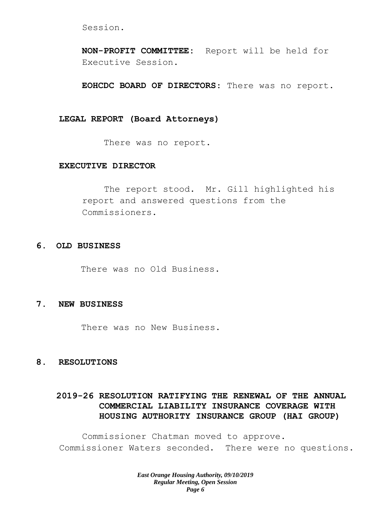Session.

**NON-PROFIT COMMITTEE:** Report will be held for Executive Session.

**EOHCDC BOARD OF DIRECTORS**: There was no report.

#### **LEGAL REPORT (Board Attorneys)**

There was no report.

# **EXECUTIVE DIRECTOR**

The report stood. Mr. Gill highlighted his report and answered questions from the Commissioners.

## **6. OLD BUSINESS**

There was no Old Business.

# **7. NEW BUSINESS**

There was no New Business.

### **8. RESOLUTIONS**

# **2019-26 RESOLUTION RATIFYING THE RENEWAL OF THE ANNUAL COMMERCIAL LIABILITY INSURANCE COVERAGE WITH HOUSING AUTHORITY INSURANCE GROUP (HAI GROUP)**

Commissioner Chatman moved to approve. Commissioner Waters seconded. There were no questions.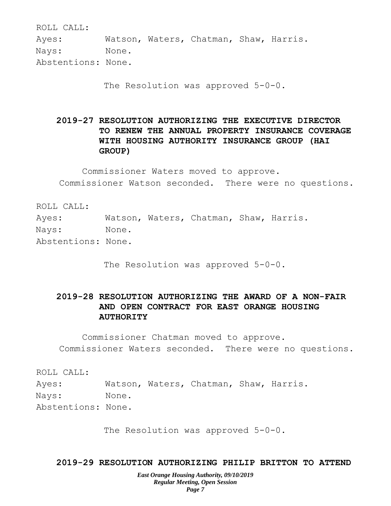ROLL CALL:

Ayes: Watson, Waters, Chatman, Shaw, Harris. Nays: None. Abstentions: None.

The Resolution was approved 5-0-0.

**2019-27 RESOLUTION AUTHORIZING THE EXECUTIVE DIRECTOR TO RENEW THE ANNUAL PROPERTY INSURANCE COVERAGE WITH HOUSING AUTHORITY INSURANCE GROUP (HAI GROUP)**

Commissioner Waters moved to approve. Commissioner Watson seconded. There were no questions.

ROLL CALL: Ayes: Watson, Waters, Chatman, Shaw, Harris. Nays: None. Abstentions: None.

The Resolution was approved 5-0-0.

# **2019-28 RESOLUTION AUTHORIZING THE AWARD OF A NON-FAIR AND OPEN CONTRACT FOR EAST ORANGE HOUSING AUTHORITY**

Commissioner Chatman moved to approve. Commissioner Waters seconded. There were no questions.

ROLL CALL:

Ayes: Watson, Waters, Chatman, Shaw, Harris. Nays: None. Abstentions: None.

The Resolution was approved 5-0-0.

# **2019-29 RESOLUTION AUTHORIZING PHILIP BRITTON TO ATTEND**

*East Orange Housing Authority, 09/10/2019 Regular Meeting, Open Session Page 7*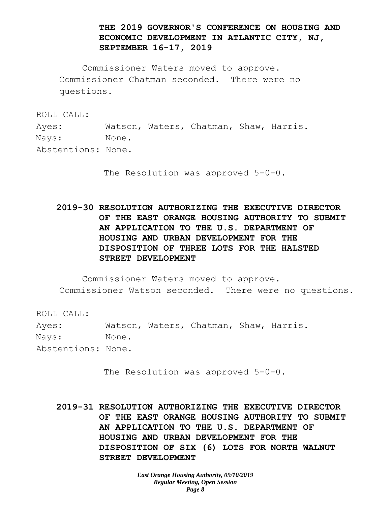# **THE 2019 GOVERNOR'S CONFERENCE ON HOUSING AND ECONOMIC DEVELOPMENT IN ATLANTIC CITY, NJ, SEPTEMBER 16-17, 2019**

Commissioner Waters moved to approve. Commissioner Chatman seconded. There were no questions.

ROLL CALL:

Ayes: Watson, Waters, Chatman, Shaw, Harris. Nays: None.

Abstentions: None.

The Resolution was approved  $5-0-0$ .

**2019-30 RESOLUTION AUTHORIZING THE EXECUTIVE DIRECTOR OF THE EAST ORANGE HOUSING AUTHORITY TO SUBMIT AN APPLICATION TO THE U.S. DEPARTMENT OF HOUSING AND URBAN DEVELOPMENT FOR THE DISPOSITION OF THREE LOTS FOR THE HALSTED STREET DEVELOPMENT**

Commissioner Waters moved to approve. Commissioner Watson seconded. There were no questions.

ROLL CALL:

Ayes: Watson, Waters, Chatman, Shaw, Harris. Nays: None. Abstentions: None.

The Resolution was approved 5-0-0.

**2019-31 RESOLUTION AUTHORIZING THE EXECUTIVE DIRECTOR OF THE EAST ORANGE HOUSING AUTHORITY TO SUBMIT AN APPLICATION TO THE U.S. DEPARTMENT OF HOUSING AND URBAN DEVELOPMENT FOR THE DISPOSITION OF SIX (6) LOTS FOR NORTH WALNUT STREET DEVELOPMENT**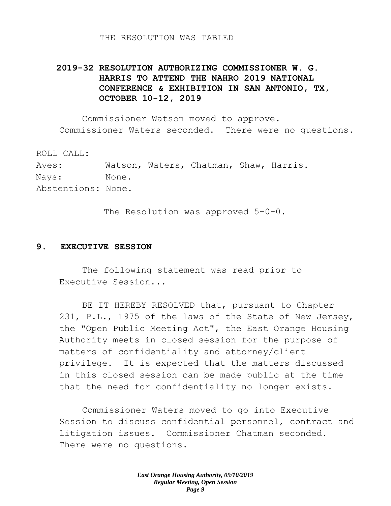#### THE RESOLUTION WAS TABLED

# **2019-32 RESOLUTION AUTHORIZING COMMISSIONER W. G. HARRIS TO ATTEND THE NAHRO 2019 NATIONAL CONFERENCE & EXHIBITION IN SAN ANTONIO, TX, OCTOBER 10-12, 2019**

Commissioner Watson moved to approve. Commissioner Waters seconded. There were no questions.

ROLL CALL: Ayes: Watson, Waters, Chatman, Shaw, Harris. Nays: None. Abstentions: None.

The Resolution was approved 5-0-0.

### **9. EXECUTIVE SESSION**

The following statement was read prior to Executive Session...

BE IT HEREBY RESOLVED that, pursuant to Chapter 231, P.L., 1975 of the laws of the State of New Jersey, the "Open Public Meeting Act", the East Orange Housing Authority meets in closed session for the purpose of matters of confidentiality and attorney/client privilege. It is expected that the matters discussed in this closed session can be made public at the time that the need for confidentiality no longer exists.

Commissioner Waters moved to go into Executive Session to discuss confidential personnel, contract and litigation issues. Commissioner Chatman seconded. There were no questions.